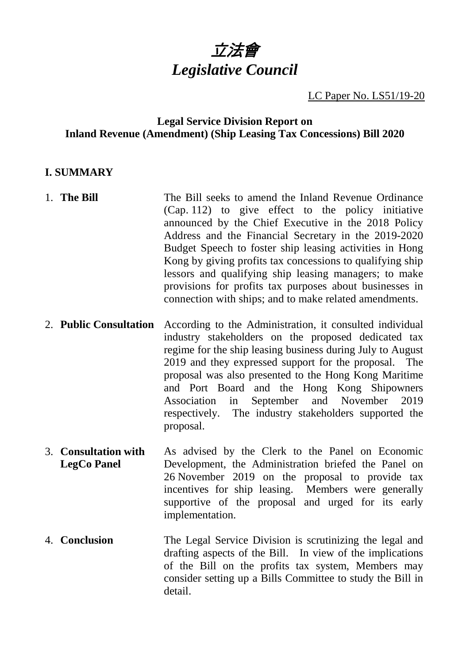

### LC Paper No. LS51/19-20

#### **Legal Service Division Report on Inland Revenue (Amendment) (Ship Leasing Tax Concessions) Bill 2020**

#### **I. SUMMARY**

- 1. **The Bill** The Bill seeks to amend the Inland Revenue Ordinance (Cap. 112) to give effect to the policy initiative announced by the Chief Executive in the 2018 Policy Address and the Financial Secretary in the 2019-2020 Budget Speech to foster ship leasing activities in Hong Kong by giving profits tax concessions to qualifying ship lessors and qualifying ship leasing managers; to make provisions for profits tax purposes about businesses in connection with ships; and to make related amendments. 2. **Public Consultation** According to the Administration, it consulted individual
- industry stakeholders on the proposed dedicated tax regime for the ship leasing business during July to August 2019 and they expressed support for the proposal. The proposal was also presented to the Hong Kong Maritime and Port Board and the Hong Kong Shipowners Association in September and November 2019 respectively. The industry stakeholders supported the proposal.
- 3. **Consultation with LegCo Panel** As advised by the Clerk to the Panel on Economic Development, the Administration briefed the Panel on 26 November 2019 on the proposal to provide tax incentives for ship leasing. Members were generally supportive of the proposal and urged for its early implementation.
- 4. **Conclusion** The Legal Service Division is scrutinizing the legal and drafting aspects of the Bill. In view of the implications of the Bill on the profits tax system, Members may consider setting up a Bills Committee to study the Bill in detail.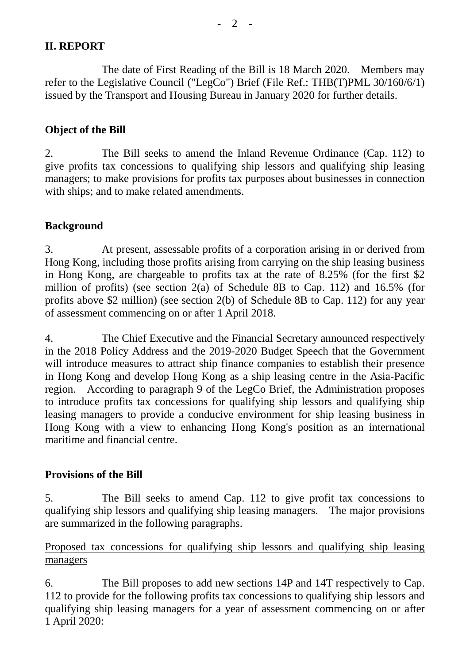# **II. REPORT**

The date of First Reading of the Bill is 18 March 2020. Members may refer to the Legislative Council ("LegCo") Brief (File Ref.: THB(T)PML 30/160/6/1) issued by the Transport and Housing Bureau in January 2020 for further details.

#### **Object of the Bill**

2. The Bill seeks to amend the Inland Revenue Ordinance (Cap. 112) to give profits tax concessions to qualifying ship lessors and qualifying ship leasing managers; to make provisions for profits tax purposes about businesses in connection with ships; and to make related amendments.

### **Background**

3. At present, assessable profits of a corporation arising in or derived from Hong Kong, including those profits arising from carrying on the ship leasing business in Hong Kong, are chargeable to profits tax at the rate of 8.25% (for the first \$2 million of profits) (see section 2(a) of Schedule 8B to Cap. 112) and 16.5% (for profits above \$2 million) (see section 2(b) of Schedule 8B to Cap. 112) for any year of assessment commencing on or after 1 April 2018.

4. The Chief Executive and the Financial Secretary announced respectively in the 2018 Policy Address and the 2019-2020 Budget Speech that the Government will introduce measures to attract ship finance companies to establish their presence in Hong Kong and develop Hong Kong as a ship leasing centre in the Asia-Pacific region. According to paragraph 9 of the LegCo Brief, the Administration proposes to introduce profits tax concessions for qualifying ship lessors and qualifying ship leasing managers to provide a conducive environment for ship leasing business in Hong Kong with a view to enhancing Hong Kong's position as an international maritime and financial centre.

#### **Provisions of the Bill**

5. The Bill seeks to amend Cap. 112 to give profit tax concessions to qualifying ship lessors and qualifying ship leasing managers. The major provisions are summarized in the following paragraphs.

### Proposed tax concessions for qualifying ship lessors and qualifying ship leasing managers

6. The Bill proposes to add new sections 14P and 14T respectively to Cap. 112 to provide for the following profits tax concessions to qualifying ship lessors and qualifying ship leasing managers for a year of assessment commencing on or after 1 April 2020: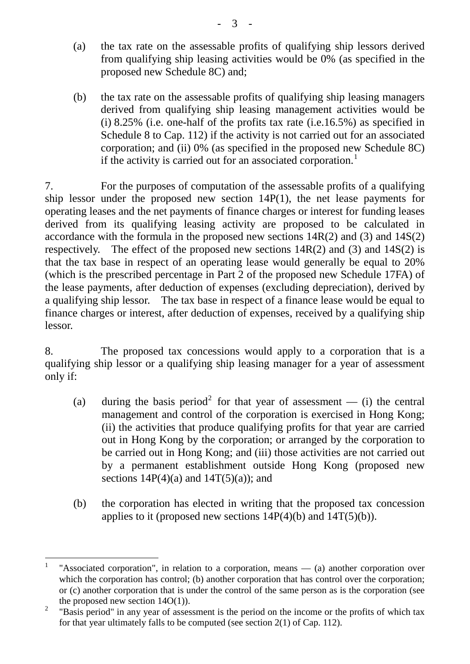- (a) the tax rate on the assessable profits of qualifying ship lessors derived from qualifying ship leasing activities would be 0% (as specified in the proposed new Schedule 8C) and;
- (b) the tax rate on the assessable profits of qualifying ship leasing managers derived from qualifying ship leasing management activities would be (i)  $8.25\%$  (i.e. one-half of the profits tax rate (i.e.16.5%) as specified in Schedule 8 to Cap. 112) if the activity is not carried out for an associated corporation; and (ii) 0% (as specified in the proposed new Schedule 8C) if the activity is carried out for an associated corporation.<sup>[1](#page-2-0)</sup>

7. For the purposes of computation of the assessable profits of a qualifying ship lessor under the proposed new section 14P(1), the net lease payments for operating leases and the net payments of finance charges or interest for funding leases derived from its qualifying leasing activity are proposed to be calculated in accordance with the formula in the proposed new sections 14R(2) and (3) and 14S(2) respectively. The effect of the proposed new sections  $14R(2)$  and  $(3)$  and  $14S(2)$  is that the tax base in respect of an operating lease would generally be equal to 20% (which is the prescribed percentage in Part 2 of the proposed new Schedule 17FA) of the lease payments, after deduction of expenses (excluding depreciation), derived by a qualifying ship lessor. The tax base in respect of a finance lease would be equal to finance charges or interest, after deduction of expenses, received by a qualifying ship lessor.

8. The proposed tax concessions would apply to a corporation that is a qualifying ship lessor or a qualifying ship leasing manager for a year of assessment only if:

- (a) during the basis period<sup>[2](#page-2-1)</sup> for that year of assessment (i) the central management and control of the corporation is exercised in Hong Kong; (ii) the activities that produce qualifying profits for that year are carried out in Hong Kong by the corporation; or arranged by the corporation to be carried out in Hong Kong; and (iii) those activities are not carried out by a permanent establishment outside Hong Kong (proposed new sections  $14P(4)(a)$  and  $14T(5)(a)$ ; and
- (b) the corporation has elected in writing that the proposed tax concession applies to it (proposed new sections  $14P(4)(b)$  and  $14T(5)(b)$ ).

<span id="page-2-0"></span><sup>&</sup>lt;sup>1</sup> "Associated corporation", in relation to a corporation, means  $-$  (a) another corporation over which the corporation has control; (b) another corporation that has control over the corporation; or (c) another corporation that is under the control of the same person as is the corporation (see the proposed new section  $14O(1)$ ).

<span id="page-2-1"></span><sup>&</sup>lt;sup>2</sup> "Basis period" in any year of assessment is the period on the income or the profits of which tax for that year ultimately falls to be computed (see section 2(1) of Cap. 112).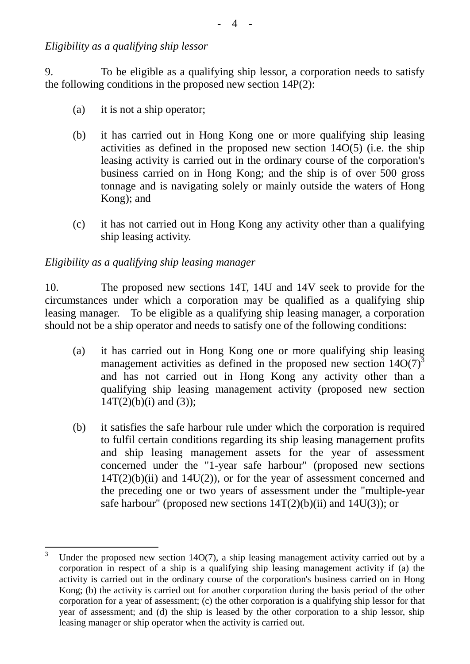*Eligibility as a qualifying ship lessor* 

9. To be eligible as a qualifying ship lessor, a corporation needs to satisfy the following conditions in the proposed new section  $14P(2)$ :

- (a) it is not a ship operator;
- (b) it has carried out in Hong Kong one or more qualifying ship leasing activities as defined in the proposed new section 14O(5) (i.e. the ship leasing activity is carried out in the ordinary course of the corporation's business carried on in Hong Kong; and the ship is of over 500 gross tonnage and is navigating solely or mainly outside the waters of Hong Kong); and
- (c) it has not carried out in Hong Kong any activity other than a qualifying ship leasing activity.

### *Eligibility as a qualifying ship leasing manager*

10. The proposed new sections 14T, 14U and 14V seek to provide for the circumstances under which a corporation may be qualified as a qualifying ship leasing manager. To be eligible as a qualifying ship leasing manager, a corporation should not be a ship operator and needs to satisfy one of the following conditions:

- (a) it has carried out in Hong Kong one or more qualifying ship leasing management activities as defined in the proposed new section  $14O(7)^3$  $14O(7)^3$ and has not carried out in Hong Kong any activity other than a qualifying ship leasing management activity (proposed new section  $14T(2)(b)(i)$  and  $(3)$ ;
- (b) it satisfies the safe harbour rule under which the corporation is required to fulfil certain conditions regarding its ship leasing management profits and ship leasing management assets for the year of assessment concerned under the "1-year safe harbour" (proposed new sections  $14T(2)(b)(ii)$  and  $14U(2)$ , or for the year of assessment concerned and the preceding one or two years of assessment under the "multiple-year safe harbour" (proposed new sections  $14T(2)(b)(ii)$  and  $14U(3)$ ); or

<span id="page-3-0"></span><sup>&</sup>lt;sup>3</sup> Under the proposed new section 14O(7), a ship leasing management activity carried out by a corporation in respect of a ship is a qualifying ship leasing management activity if (a) the activity is carried out in the ordinary course of the corporation's business carried on in Hong Kong; (b) the activity is carried out for another corporation during the basis period of the other corporation for a year of assessment; (c) the other corporation is a qualifying ship lessor for that year of assessment; and (d) the ship is leased by the other corporation to a ship lessor, ship leasing manager or ship operator when the activity is carried out.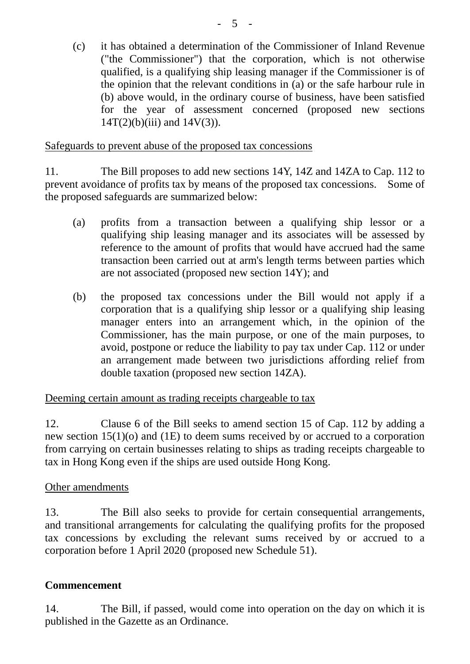(c) it has obtained a determination of the Commissioner of Inland Revenue ("the Commissioner") that the corporation, which is not otherwise qualified, is a qualifying ship leasing manager if the Commissioner is of the opinion that the relevant conditions in (a) or the safe harbour rule in (b) above would, in the ordinary course of business, have been satisfied for the year of assessment concerned (proposed new sections  $14T(2)(b)(iii)$  and  $14V(3)$ ).

#### Safeguards to prevent abuse of the proposed tax concessions

11. The Bill proposes to add new sections 14Y, 14Z and 14ZA to Cap. 112 to prevent avoidance of profits tax by means of the proposed tax concessions. Some of the proposed safeguards are summarized below:

- (a) profits from a transaction between a qualifying ship lessor or a qualifying ship leasing manager and its associates will be assessed by reference to the amount of profits that would have accrued had the same transaction been carried out at arm's length terms between parties which are not associated (proposed new section 14Y); and
- (b) the proposed tax concessions under the Bill would not apply if a corporation that is a qualifying ship lessor or a qualifying ship leasing manager enters into an arrangement which, in the opinion of the Commissioner, has the main purpose, or one of the main purposes, to avoid, postpone or reduce the liability to pay tax under Cap. 112 or under an arrangement made between two jurisdictions affording relief from double taxation (proposed new section 14ZA).

# Deeming certain amount as trading receipts chargeable to tax

12. Clause 6 of the Bill seeks to amend section 15 of Cap. 112 by adding a new section 15(1)(o) and (1E) to deem sums received by or accrued to a corporation from carrying on certain businesses relating to ships as trading receipts chargeable to tax in Hong Kong even if the ships are used outside Hong Kong.

# Other amendments

13. The Bill also seeks to provide for certain consequential arrangements, and transitional arrangements for calculating the qualifying profits for the proposed tax concessions by excluding the relevant sums received by or accrued to a corporation before 1 April 2020 (proposed new Schedule 51).

#### **Commencement**

14. The Bill, if passed, would come into operation on the day on which it is published in the Gazette as an Ordinance.